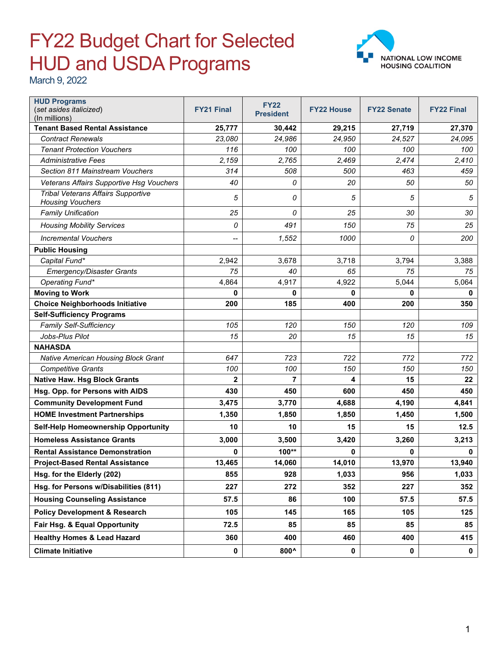## FY22 Budget Chart for Selected HUD and USDA Programs



March 9, 2022

| <b>HUD Programs</b><br>(set asides italicized)                | <b>FY21 Final</b> | <b>FY22</b><br><b>President</b> | <b>FY22 House</b> | <b>FY22 Senate</b> | <b>FY22 Final</b> |
|---------------------------------------------------------------|-------------------|---------------------------------|-------------------|--------------------|-------------------|
| (In millions)<br><b>Tenant Based Rental Assistance</b>        | 25,777            | 30,442                          | 29,215            | 27,719             | 27,370            |
| <b>Contract Renewals</b>                                      | 23,080            | 24,986                          | 24,950            | 24,527             | 24,095            |
| <b>Tenant Protection Vouchers</b>                             | 116               | 100                             | 100               | 100                | 100               |
| <b>Administrative Fees</b>                                    | 2,159             | 2,765                           | 2,469             | 2,474              | 2,410             |
| Section 811 Mainstream Vouchers                               | 314               | 508                             | 500               | 463                | 459               |
| Veterans Affairs Supportive Hsg Vouchers                      | 40                | 0                               | 20                | 50                 | 50                |
| Tribal Veterans Affairs Supportive<br><b>Housing Vouchers</b> | 5                 | 0                               | 5                 | 5                  | 5                 |
| <b>Family Unification</b>                                     | 25                | 0                               | 25                | 30                 | 30                |
| <b>Housing Mobility Services</b>                              | 0                 | 491                             | 150               | 75                 | 25                |
| <b>Incremental Vouchers</b>                                   | --                | 1,552                           | 1000              | 0                  | 200               |
| <b>Public Housing</b>                                         |                   |                                 |                   |                    |                   |
| Capital Fund*                                                 | 2,942             | 3,678                           | 3,718             | 3,794              | 3,388             |
| Emergency/Disaster Grants                                     | 75                | 40                              | 65                | 75                 | 75                |
| Operating Fund*                                               | 4,864             | 4,917                           | 4,922             | 5,044              | 5,064             |
| <b>Moving to Work</b>                                         | $\bf{0}$          | $\mathbf{0}$                    | 0                 | 0                  | 0                 |
| <b>Choice Neighborhoods Initiative</b>                        | 200               | 185                             | 400               | 200                | 350               |
| <b>Self-Sufficiency Programs</b>                              |                   |                                 |                   |                    |                   |
| <b>Family Self-Sufficiency</b>                                | 105               | 120                             | 150               | 120                | 109               |
| Jobs-Plus Pilot                                               | 15                | 20                              | 15                | 15                 | 15                |
| <b>NAHASDA</b>                                                |                   |                                 |                   |                    |                   |
| <b>Native American Housing Block Grant</b>                    | 647               | 723                             | 722               | 772                | 772               |
| <b>Competitive Grants</b>                                     | 100               | 100                             | 150               | 150                | 150               |
| <b>Native Haw. Hsg Block Grants</b>                           | $\overline{2}$    | 7                               | 4                 | 15                 | 22                |
| Hsg. Opp. for Persons with AIDS                               | 430               | 450                             | 600               | 450                | 450               |
| <b>Community Development Fund</b>                             | 3,475             | 3,770                           | 4,688             | 4,190              | 4,841             |
| <b>HOME Investment Partnerships</b>                           | 1,350             | 1,850                           | 1,850             | 1,450              | 1,500             |
| Self-Help Homeownership Opportunity                           | 10                | 10                              | 15                | 15                 | 12.5              |
| <b>Homeless Assistance Grants</b>                             | 3,000             | 3,500                           | 3,420             | 3,260              | 3,213             |
| <b>Rental Assistance Demonstration</b>                        | 0                 | 100**                           | 0                 | 0                  | 0                 |
| <b>Project-Based Rental Assistance</b>                        | 13,465            | 14,060                          | 14,010            | 13,970             | 13,940            |
| Hsg. for the Elderly (202)                                    | 855               | 928                             | 1,033             | 956                | 1,033             |
| Hsg. for Persons w/Disabilities (811)                         | 227               | 272                             | 352               | 227                | 352               |
| <b>Housing Counseling Assistance</b>                          | 57.5              | 86                              | 100               | 57.5               | 57.5              |
| <b>Policy Development &amp; Research</b>                      | 105               | 145                             | 165               | 105                | 125               |
| Fair Hsg. & Equal Opportunity                                 | 72.5              | 85                              | 85                | 85                 | 85                |
| <b>Healthy Homes &amp; Lead Hazard</b>                        | 360               | 400                             | 460               | 400                | 415               |
| <b>Climate Initiative</b>                                     | $\mathbf 0$       | 800^                            | $\pmb{0}$         | $\mathbf 0$        | $\mathbf 0$       |